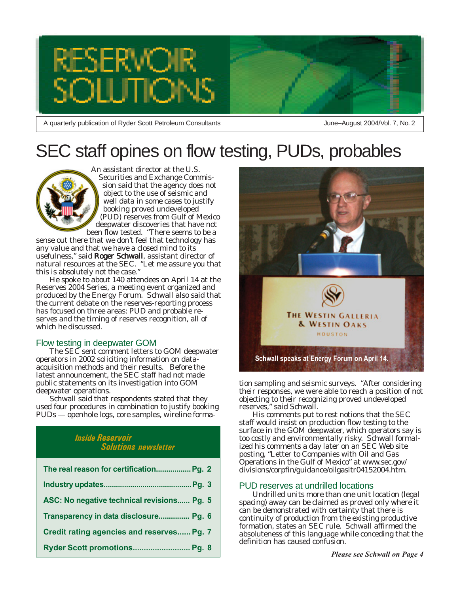

A quarterly publication of Ryder Scott Petroleum Consultants

June–August 2004/Vol. 7, No. 2

## SEC staff opines on flow testing, PUDs, probables

An assistant director at the U.S. Securities and Exchange Commission said that the agency does not object to the use of seismic and well data in some cases to justify booking proved undeveloped (PUD) reserves from Gulf of Mexico deepwater discoveries that have not been flow tested. "There seems to be a

sense out there that we don't feel that technology has any value and that we have a closed mind to its usefulness," said Roger Schwall, assistant director of natural resources at the SEC. "Let me assure you that this is absolutely not the case."

He spoke to about 140 attendees on April 14 at the Reserves 2004 Series, a meeting event organized and produced by the Energy Forum. Schwall also said that the current debate on the reserves-reporting process has focused on three areas: PUD and probable reserves and the timing of reserves recognition, all of which he discussed.

#### Flow testing in deepwater GOM

The SEC sent comment letters to GOM deepwater operators in 2002 soliciting information on dataacquisition methods and their results. Before the latest announcement, the SEC staff had not made public statements on its investigation into GOM deepwater operations.

Schwall said that respondents stated that they used four procedures in combination to justify booking PUDs — openhole logs, core samples, wireline forma-

#### *Inside Reservoir Solutions newsletter*

| The real reason for certification Pg. 2    |
|--------------------------------------------|
|                                            |
| ASC: No negative technical revisions Pg. 5 |
| Transparency in data disclosure Pg. 6      |
| Credit rating agencies and reserves Pg. 7  |
| Ryder Scott promotions Pg. 8               |



tion sampling and seismic surveys. "After considering their responses, we were able to reach a position of not objecting to their recognizing proved undeveloped reserves," said Schwall.

His comments put to rest notions that the SEC staff would insist on production flow testing to the surface in the GOM deepwater, which operators say is too costly and environmentally risky. Schwall formalized his comments a day later on an SEC Web site posting, "Letter to Companies with Oil and Gas Operations in the Gulf of Mexico" at www.sec.gov/ divisions/corpfin/guidance/oilgasltr04152004.htm.

#### PUD reserves at undrilled locations

Undrilled units more than one unit location (legal spacing) away can be claimed as proved only where it can be demonstrated with certainty that there is continuity of production from the existing productive formation, states an SEC rule. Schwall affirmed the absoluteness of this language while conceding that the definition has caused confusion.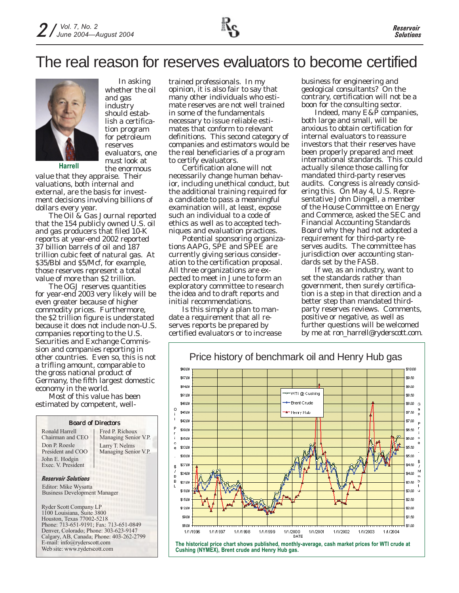

In asking whether the oil and gas industry should establish a certification program for petroleum reserves evaluators, one must look at the enormous

**Harrell**

value that they appraise. Their valuations, both internal and external, are the basis for investment decisions involving billions of dollars every year.

The *Oil & Gas Journal* reported that the 154 publicly owned U.S. oil and gas producers that filed 10-K reports at year-end 2002 reported 37 billion barrels of oil and 187 trillion cubic feet of natural gas. At \$35/Bbl and \$5/Mcf, for example, those reserves represent a total value of more than \$2 trillion.

The *OGJ* reserves quantities for year-end 2003 very likely will be even greater because of higher commodity prices. Furthermore, the \$2 trillion figure is understated because it does not include non-U.S. companies reporting to the U.S. Securities and Exchange Commission and companies reporting in other countries. Even so, this is not a trifling amount, comparable to the gross national product of Germany, the fifth largest domestic economy in the world.

Most of this value has been estimated by competent, well-

|                                                                                                                                    | <b>Board of Directors</b>                                                |
|------------------------------------------------------------------------------------------------------------------------------------|--------------------------------------------------------------------------|
| Ronald Harrell<br>Chairman and CEO                                                                                                 | Fred P. Richoux<br>Managing Senior V.P.                                  |
| Don P. Roesle<br>President and COO<br>John E. Hodgin<br>Exec. V. President                                                         | Larry T. Nelms<br>Managing Senior V.P.<br>in an T<br>i i i i i<br>a na m |
| <b>Reservoir Solutions</b>                                                                                                         |                                                                          |
| Editor: Mike Wysatta<br><b>Business Development Manager</b>                                                                        |                                                                          |
| <b>Ryder Scott Company LP</b><br>1100 Louisiana, Suite 3800<br>Houston, Texas 77002-5218<br>Phone: 713-651-9191; Fax: 713-651-0849 |                                                                          |
| Denver, Colorado; Phone: 303-623-9147                                                                                              |                                                                          |
| Calgary, AB, Canada; Phone: 403-262-2799<br>E-mail: info@ryderscott.com                                                            |                                                                          |
| Web site: www.ryderscott.com                                                                                                       |                                                                          |

trained professionals. In my opinion, it is also fair to say that many other individuals who estimate reserves are not well trained in some of the fundamentals necessary to issue reliable estimates that conform to relevant definitions. This second category of companies and estimators would be the real beneficiaries of a program to certify evaluators.

Certification alone will not necessarily change human behavior, including unethical conduct, but the additional training required for a candidate to pass a meaningful examination will, at least, expose such an individual to a code of ethics as well as to accepted techniques and evaluation practices.

Potential sponsoring organizations AAPG, SPE and SPEE are currently giving serious consideration to the certification proposal. All three organizations are expected to meet in June to form an exploratory committee to research the idea and to draft reports and initial recommendations.

Is this simply a plan to mandate a requirement that all reserves reports be prepared by certified evaluators or to increase business for engineering and geological consultants? On the contrary, certification will not be a boon for the consulting sector.

Indeed, many E&P companies, both large and small, will be anxious to obtain certification for internal evaluators to reassure investors that their reserves have been properly prepared and meet international standards. This could actually silence those calling for mandated third-party reserves audits. Congress is already considering this. On May 4, U.S. Representative John Dingell, a member of the House Committee on Energy and Commerce, asked the SEC and Financial Accounting Standards Board why they had not adopted a requirement for third-party reserves audits. The committee has jurisdiction over accounting standards set by the FASB.

If we, as an industry, want to set the standards rather than government, then surely certification is a step in that direction and a better step than mandated thirdparty reserves reviews. Comments, positive or negative, as well as further questions will be welcomed by me at ron\_harrell@ryderscott.com.



#### Price history of benchmark oil and Henry Hub gas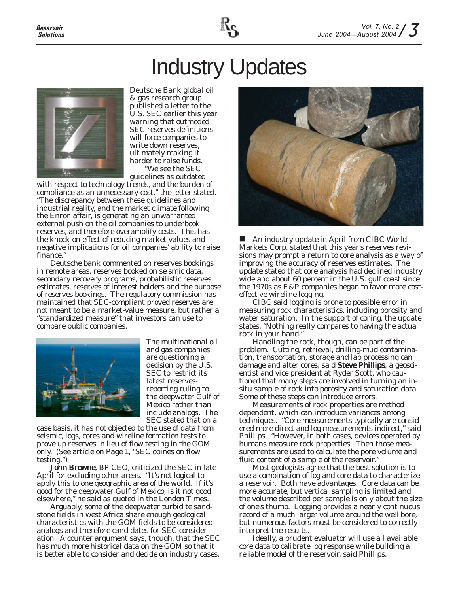

# Industry Updates



Deutsche Bank global oil & gas research group published a letter to the U.S. SEC earlier this year warning that outmoded SEC reserves definitions will force companies to write down reserves, ultimately making it harder to raise funds. "We see the SEC

guidelines as outdated with respect to technology trends, and the burden of compliance as an unnecessary cost," the letter stated. "The discrepancy between these guidelines and industrial reality, and the market climate following the Enron affair, is generating an unwarranted external push on the oil companies to underbook reserves, and therefore overamplify costs. This has the knock-on effect of reducing market values and negative implications for oil companies' ability to raise finance."

Deutsche bank commented on reserves bookings in remote areas, reserves booked on seismic data, secondary recovery programs, probabilistic reserves estimates, reserves of interest holders and the purpose of reserves bookings. The regulatory commission has maintained that SEC-compliant proved reserves are not meant to be a market-value measure, but rather a "standardized measure" that investors can use to compare public companies.



The multinational oil and gas companies are questioning a decision by the U.S. SEC to restrict its latest reservesreporting ruling to the deepwater Gulf of Mexico rather than include analogs. The SEC stated that on a

case basis, it has not objected to the use of data from seismic, logs, cores and wireline formation tests to prove up reserves in lieu of flow testing in the GOM only. (See article on Page 1, "SEC opines on flow testing.")

John Browne, BP CEO, criticized the SEC in late April for excluding other areas. "It's not logical to apply this to one geographic area of the world. If it's good for the deepwater Gulf of Mexico, is it not good elsewhere," he said as quoted in the *London Times*.

Arguably, some of the deepwater turbidite sandstone fields in west Africa share enough geological characteristics with the GOM fields to be considered analogs and therefore candidates for SEC consideration. A counter argument says, though, that the SEC has much more historical data on the GOM so that it is better able to consider and decide on industry cases.



■ An industry update in April from CIBC World Markets Corp. stated that this year's reserves revisions may prompt a return to core analysis as a way of improving the accuracy of reserves estimates. The update stated that core analysis had declined industry wide and about 60 percent in the U.S. gulf coast since the 1970s as E&P companies began to favor more costeffective wireline logging.

CIBC said logging is prone to possible error in measuring rock characteristics, including porosity and water saturation. In the support of coring, the update states, "Nothing really compares to having the actual rock in your hand."

Handling the rock, though, can be part of the problem. Cutting, retrieval, drilling-mud contamination, transportation, storage and lab processing can damage and alter cores, said Steve Phillips, a geoscientist and vice president at Ryder Scott, who cautioned that many steps are involved in turning an insitu sample of rock into porosity and saturation data. Some of these steps can introduce errors.

Measurements of rock properties are method dependent, which can introduce variances among techniques. "Core measurements typically are considered more direct and log measurements indirect," said Phillips. "However, in both cases, devices operated by humans measure rock properties. Then those measurements are used to calculate the pore volume and fluid content of a sample of the reservoir."

Most geologists agree that the best solution is to use a combination of log and core data to characterize a reservoir. Both have advantages. Core data can be more accurate, but vertical sampling is limited and the volume described per sample is only about the size of one's thumb. Logging provides a nearly continuous record of a much larger volume around the well bore, but numerous factors must be considered to correctly interpret the results.

Ideally, a prudent evaluator will use all available core data to calibrate log response while building a reliable model of the reservoir, said Phillips.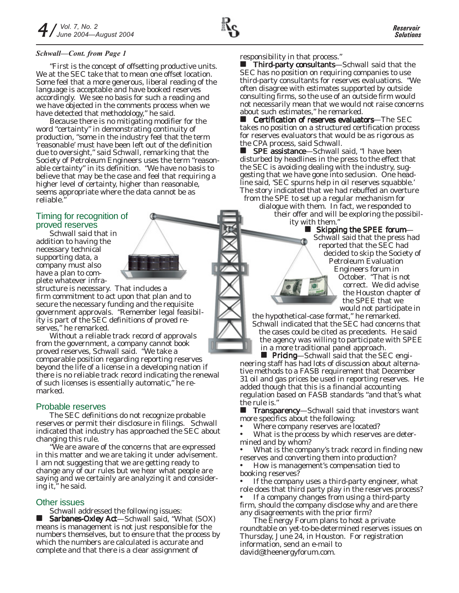#### *Schwall—Cont. from Page 1*

"First is the concept of offsetting productive units. We at the SEC take that to mean one offset location. Some feel that a more generous, liberal reading of the language is acceptable and have booked reserves accordingly. We see no basis for such a reading and we have objected in the comments process when we have detected that methodology," he said.

Because there is no mitigating modifier for the word "certainty" in demonstrating continuity of production, "some in the industry feel that the term 'reasonable' must have been left out of the definition due to oversight," said Schwall, remarking that the Society of Petroleum Engineers uses the term "reasonable certainty" in its definition. "We have no basis to believe that may be the case and feel that requiring a higher level of certainty, higher than reasonable, seems appropriate where the data cannot be as reliable."

#### Timing for recognition of proved reserves

Schwall said that in addition to having the necessary technical supporting data, a company must also have a plan to complete whatever infra-

structure is necessary. That includes a firm commitment to act upon that plan and to secure the necessary funding and the requisite government approvals. "Remember legal feasibility is part of the SEC definitions of proved reserves," he remarked.

Without a reliable track record of approvals from the government, a company cannot book proved reserves, Schwall said. "We take a comparable position regarding reporting reserves beyond the life of a license in a developing nation if there is no reliable track record indicating the renewal of such licenses is essentially automatic," he remarked.

#### Probable reserves

The SEC definitions do not recognize probable reserves or permit their disclosure in filings. Schwall indicated that industry has approached the SEC about changing this rule.

"We are aware of the concerns that are expressed in this matter and we are taking it under advisement. I am not suggesting that we are getting ready to change any of our rules but we hear what people are saying and we certainly are analyzing it and considering it," he said.

#### Other issues

Schwall addressed the following issues:

 Sarbanes-Oxley Act—Schwall said, "What (SOX) means is management is not just responsible for the numbers themselves, but to ensure that the process by which the numbers are calculated is accurate and complete and that there is a clear assignment of

responsibility in that process."

 Third-party consultants—Schwall said that the SEC has no position on requiring companies to use third-party consultants for reserves evaluations. "We often disagree with estimates supported by outside consulting firms, so the use of an outside firm would not necessarily mean that we would not raise concerns about such estimates," he remarked.

 $\blacksquare$  Certification of reserves evaluators—The SEC takes no position on a structured certification process for reserves evaluators that would be as rigorous as the CPA process, said Schwall.

**SPE assistance**—Schwall said, "I have been disturbed by headlines in the press to the effect that the SEC is avoiding dealing with the industry, suggesting that we have gone into seclusion. One headline said, 'SEC spurns help in oil reserves squabble.' The story indicated that we had rebuffed an overture from the SPE to set up a regular mechanism for

dialogue with them. In fact, we responded to their offer and will be exploring the possibil-

ity with them."  $\blacksquare$  Skipping the SPEE forum-Schwall said that the press had reported that the SEC had decided to skip the Society of Petroleum Evaluation Engineers forum in October. "That is not correct. We did advise the Houston chapter of the SPEE that we would not participate in

the hypothetical-case format," he remarked. Schwall indicated that the SEC had concerns that the cases could be cited as precedents. He said the agency was willing to participate with SPEE in a more traditional panel approach.

**Pricing**—Schwall said that the SEC engineering staff has had lots of discussion about alternative methods to a FASB requirement that December

31 oil and gas prices be used in reporting reserves. He added though that this is a financial accounting regulation based on FASB standards "and that's what the rule is."

**Transparency**—Schwall said that investors want more specifics about the following:

• Where company reserves are located?

What is the process by which reserves are determined and by whom?

What is the company's track record in finding new reserves and converting them into production?

• How is management's compensation tied to booking reserves?

If the company uses a third-party engineer, what role does that third party play in the reserves process?

• If a company changes from using a third-party firm, should the company disclose why and are there any disagreements with the prior firm?

The Energy Forum plans to host a private roundtable on yet-to-be-determined reserves issues on Thursday, June 24, in Houston. For registration information, send an e-mail to david@theenergyforum.com.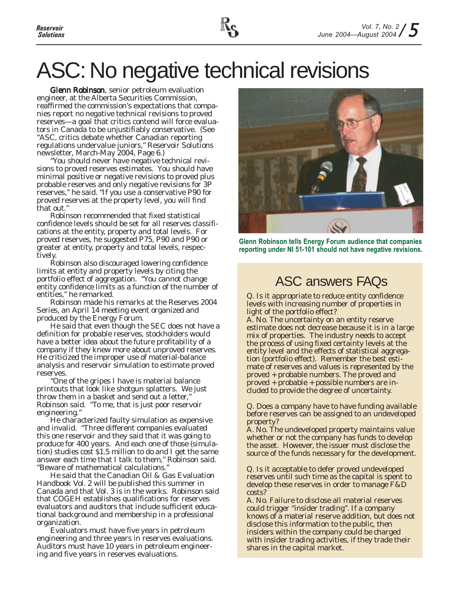# ASC: No negative technical revisions

Glenn Robinson, senior petroleum evaluation engineer, at the Alberta Securities Commission, reaffirmed the commission's expectations that companies report no negative technical revisions to proved reserves—a goal that critics contend will force evaluators in Canada to be unjustifiably conservative. (See "ASC, critics debate whether Canadian reporting regulations undervalue juniors," *Reservoir Solutions* newsletter, March-May 2004, Page 6.)

"You should never have negative technical revisions to proved reserves estimates. You should have minimal positive or negative revisions to proved plus probable reserves and only negative revisions for 3P reserves," he said. "If you use a conservative P90 for proved reserves at the property level, you will find that out."

Robinson recommended that fixed statistical confidence levels should be set for all reserves classifications at the entity, property and total levels. For proved reserves, he suggested P75, P90 and P90 or greater at entity, property and total levels, respectively.

Robinson also discouraged lowering confidence limits at entity and property levels by citing the portfolio effect of aggregation. "You cannot change entity confidence limits as a function of the number of entities," he remarked.

Robinson made his remarks at the Reserves 2004 Series, an April 14 meeting event organized and produced by the Energy Forum.

He said that even though the SEC does not have a definition for probable reserves, stockholders would have a better idea about the future profitability of a company if they knew more about unproved reserves. He criticized the improper use of material-balance analysis and reservoir simulation to estimate proved reserves.

"One of the gripes I have is material balance printouts that look like shotgun splatters. We just throw them in a basket and send out a letter," Robinson said. "To me, that is just poor reservoir engineering."

He characterized faulty simulation as expensive and invalid. "Three different companies evaluated this one reservoir and they said that it was going to produce for 400 years. And each one of those (simulation) studies cost \$1.5 million to do and I get the same answer each time that I talk to them," Robinson said. "Beware of mathematical calculations."

He said that the Canadian Oil & Gas Evaluation Handbook Vol. 2 will be published this summer in Canada and that Vol. 3 is in the works. Robinson said that COGEH establishes qualifications for reserves evaluators and auditors that include sufficient educational background and membership in a professional organization.

Evaluators must have five years in petroleum engineering and three years in reserves evaluations. Auditors must have 10 years in petroleum engineering and five years in reserves evaluations.



**Glenn Robinson tells Energy Forum audience that companies reporting under NI 51-101 should not have negative revisions.**

### ASC answers FAQs

Q. Is it appropriate to reduce entity confidence levels with increasing number of properties in light of the portfolio effect?

A. No. The uncertainty on an entity reserve estimate does not decrease because it is in a large mix of properties. The industry needs to accept the process of using fixed certainty levels at the entity level and the effects of statistical aggregation (portfolio effect). Remember the best estimate of reserves and values is represented by the proved + probable numbers. The proved and proved + probable + possible numbers are included to provide the degree of uncertainty.

Q. Does a company have to have funding available before reserves can be assigned to an undeveloped property?

A. No. The undeveloped property maintains value whether or not the company has funds to develop the asset. However, the issuer must disclose the source of the funds necessary for the development.

Q. Is it acceptable to defer proved undeveloped reserves until such time as the capital is spent to develop these reserves in order to manage F&D costs?

A. No. Failure to disclose all material reserves could trigger "insider trading". If a company knows of a material reserve addition, but does not disclose this information to the public, then insiders within the company could be charged with insider trading activities, if they trade their shares in the capital market.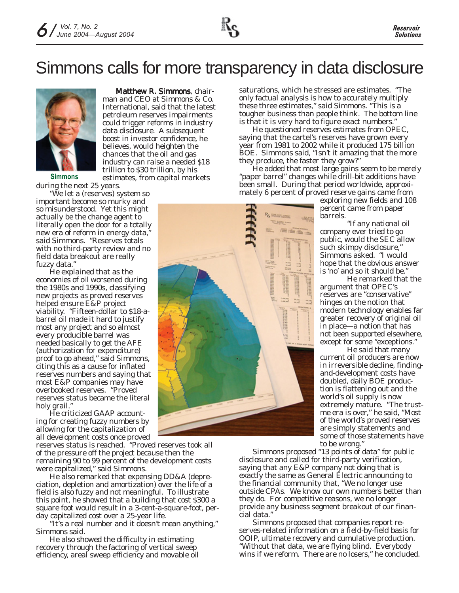### Simmons calls for more transparency in data disclosure



Matthew R. Simmons, chairman and CEO at Simmons & Co. International, said that the latest petroleum reserves impairments could trigger reforms in industry data disclosure. A subsequent boost in investor confidence, he believes, would heighten the chances that the oil and gas industry can raise a needed \$18 trillion to \$30 trillion, by his estimates, from capital markets

**Simmons**

during the next 25 years. "We let a (reserves) system so important become so murky and so misunderstood. Yet this might actually be the change agent to literally open the door for a totally new era of reform in energy data," said Simmons. "Reserves totals with no third-party review and no field data breakout are really fuzzy data."

He explained that as the economies of oil worsened during the 1980s and 1990s, classifying new projects as proved reserves helped ensure E&P project viability. "Fifteen-dollar to \$18-abarrel oil made it hard to justify most any project and so almost every producible barrel was needed basically to get the AFE (authorization for expenditure) proof to go ahead," said Simmons, citing this as a cause for inflated reserves numbers and saying that most E&P companies may have overbooked reserves. "Proved reserves status became the literal holy grail."

He criticized GAAP accounting for creating fuzzy numbers by allowing for the capitalization of all development costs once proved

reserves status is reached. "Proved reserves took all of the pressure off the project because then the remaining 90 to 99 percent of the development costs were capitalized," said Simmons.

He also remarked that expensing DD&A (depreciation, depletion and amortization) over the life of a field is also fuzzy and not meaningful. To illustrate this point, he showed that a building that cost \$300 a square foot would result in a 3-cent-a-square-foot, perday capitalized cost over a 25-year life.

"It's a real number and it doesn't mean anything," Simmons said.

He also showed the difficulty in estimating recovery through the factoring of vertical sweep efficiency, areal sweep efficiency and movable oil saturations, which he stressed are estimates. "The only factual analysis is how to accurately multiply these three estimates," said Simmons. "This is a tougher business than people think. The bottom line is that it is very hard to figure exact numbers."

He questioned reserves estimates from OPEC, saying that the cartel's reserves have grown every year from 1981 to 2002 while it produced 175 billion BOE. Simmons said, "Isn't it amazing that the more they produce, the faster they grow?"

He added that most large gains seem to be merely "paper barrel" changes while drill-bit additions have been small. During that period worldwide, approximately 6 percent of proved reserve gains came from

exploring new fields and 108 percent came from paper barrels.

"If any national oil company ever tried to go public, would the SEC allow such skimpy disclosure," Simmons asked. "I would hope that the obvious answer is 'no' and so it should be."

He remarked that the argument that OPEC's reserves are "conservative" hinges on the notion that modern technology enables far greater recovery of original oil in place—a notion that has not been supported elsewhere, except for some "exceptions."

He said that many current oil producers are now in irreversible decline, findingand-development costs have doubled, daily BOE production is flattening out and the world's oil supply is now extremely mature. "The trustme era is over," he said, "Most of the world's proved reserves are simply statements and some of those statements have to be wrong."

Simmons proposed "13 points of data" for public disclosure and called for third-party verification, saying that any E&P company not doing that is exactly the same as General Electric announcing to the financial community that, "We no longer use outside CPAs. We know our own numbers better than they do. For competitive reasons, we no longer provide any business segment breakout of our financial data."

Simmons proposed that companies report reserves-related information on a field-by-field basis for OOIP, ultimate recovery and cumulative production. "Without that data, we are flying blind. Everybody wins if we reform. There are no losers," he concluded.

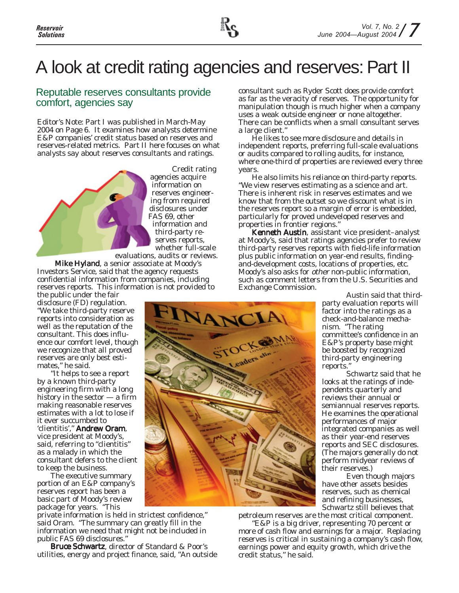## A look at credit rating agencies and reserves: Part II

#### Reputable reserves consultants provide comfort, agencies say

*Editor's Note: Part I was published in March-May 2004 on Page 6. It examines how analysts determine E&P companies' credit status based on reserves and reserves-related metrics. Part II here focuses on what analysts say about reserves consultants and ratings.*



Credit rating agencies acquire information on reserves engineering from required disclosures under FAS 69, other information and third-party reserves reports, whether full-scale

evaluations, audits or reviews. Mike Hyland, a senior associate at Moody's Investors Service, said that the agency requests confidential information from companies, including reserves reports. This information is not provided to

the public under the fair disclosure (FD) regulation. "We take third-party reserve reports into consideration as well as the reputation of the consultant. This does influence our comfort level, though we recognize that all proved reserves are only best estimates," he said.

"It helps to see a report by a known third-party engineering firm with a long history in the sector — a firm making reasonable reserves estimates with a lot to lose if it ever succumbed to 'clientitis'," Andrew Oram, vice president at Moody's, said, referring to "clientitis" as a malady in which the consultant defers to the client to keep the business.

The executive summary portion of an E&P company's reserves report has been a basic part of Moody's review package for years. "This

private information is held in strictest confidence," said Oram. "The summary can greatly fill in the information we need that might not be included in public FAS 69 disclosures."

Bruce Schwartz, director of Standard & Poor's utilities, energy and project finance, said, "An outside consultant such as Ryder Scott does provide comfort as far as the veracity of reserves. The opportunity for manipulation though is much higher when a company uses a weak outside engineer or none altogether. There can be conflicts when a small consultant serves a large client."

He likes to see more disclosure and details in independent reports, preferring full-scale evaluations or audits compared to rolling audits, for instance, where one-third of properties are reviewed every three years.

He also limits his reliance on third-party reports. "We view reserves estimating as a science and art. There is inherent risk in reserves estimates and we know that from the outset so we discount what is in the reserves report so a margin of error is embedded, particularly for proved undeveloped reserves and properties in frontier regions."

Kenneth Austin, assistant vice president–analyst at Moody's, said that ratings agencies prefer to review third-party reserves reports with field-life information plus public information on year-end results, findingand-development costs, locations of properties, etc. Moody's also asks for other non-public information, such as comment letters from the U.S. Securities and Exchange Commission.

Austin said that thirdparty evaluation reports will factor into the ratings as a check-and-balance mechanism. "The rating committee's confidence in an E&P's property base might be boosted by recognized third-party engineering reports."

Schwartz said that he looks at the ratings of independents quarterly and reviews their annual or semiannual reserves reports. He examines the operational performances of major integrated companies as well as their year-end reserves reports and SEC disclosures. (The majors generally do not perform midyear reviews of their reserves.)

Even though majors have other assets besides reserves, such as chemical and refining businesses, Schwartz still believes that

petroleum reserves are the most critical component. "E&P is a big driver, representing 70 percent or more of cash flow and earnings for a major. Replacing reserves is critical in sustaining a company's cash flow, earnings power and equity growth, which drive the credit status," he said.